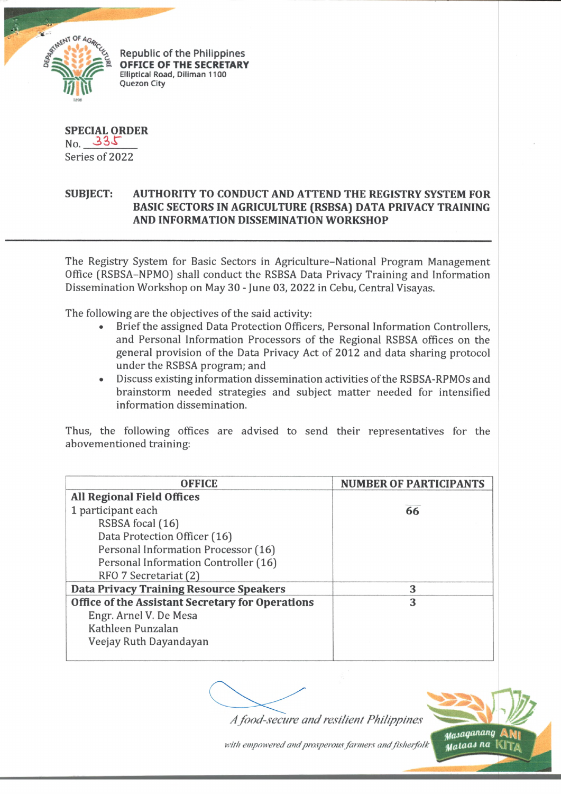

Republic of the Philippines OFFICE OF THE SECRETARY Elliptical Road, Diliman 1100 Quezon City

**SPECIAL ORDER**  $No. 335$ Series of 2022

## **SUBJECT: AUTHORITY TO CONDUCT AND ATTEND THE REGISTRY SYSTEM FOR BASIC SECTORS IN AGRICULTURE (RSBSA) DATA PRIVACY TRAINING AND INFORMATION DISSEMINATION WORKSHOP**

The Registry System for Basic Sectors in Agriculture-National Program Management Office (RSBSA-NPMO) shall conduct the RSBSA Data Privacy Training and Information Dissemination Workshop on May 30 - June 03, 2022 in Cebu, Central Visayas.

The following are the objectives of the said activity:

- Brief the assigned Data Protection Officers, Personal Information Controllers, and Personal Information Processors of the Regional RSBSA offices on the general provision of the Data Privacy Act of 2012 and data sharing protocol under the RSBSA program; and
- Discuss existing information dissemination activities of the RSBSA-RPMOs and brainstorm needed strategies and subject matter needed for intensified information dissemination.

Thus, the following offices are advised to send their representatives for the abovementioned training:

| <b>OFFICE</b>                                    | <b>NUMBER OF PARTICIPANTS</b> |
|--------------------------------------------------|-------------------------------|
| <b>All Regional Field Offices</b>                |                               |
| 1 participant each                               | 66                            |
| RSBSA focal (16)                                 |                               |
| Data Protection Officer (16)                     |                               |
| Personal Information Processor (16)              |                               |
| Personal Information Controller (16)             |                               |
| RFO 7 Secretariat (2)                            |                               |
| <b>Data Privacy Training Resource Speakers</b>   | 3                             |
| Office of the Assistant Secretary for Operations | 3                             |
| Engr. Arnel V. De Mesa                           |                               |
| Kathleen Punzalan                                |                               |
| Veejay Ruth Dayandayan                           |                               |

*A food-secu re and resilien t Philippines*



with empowered and prosperous farmers and fisherfolk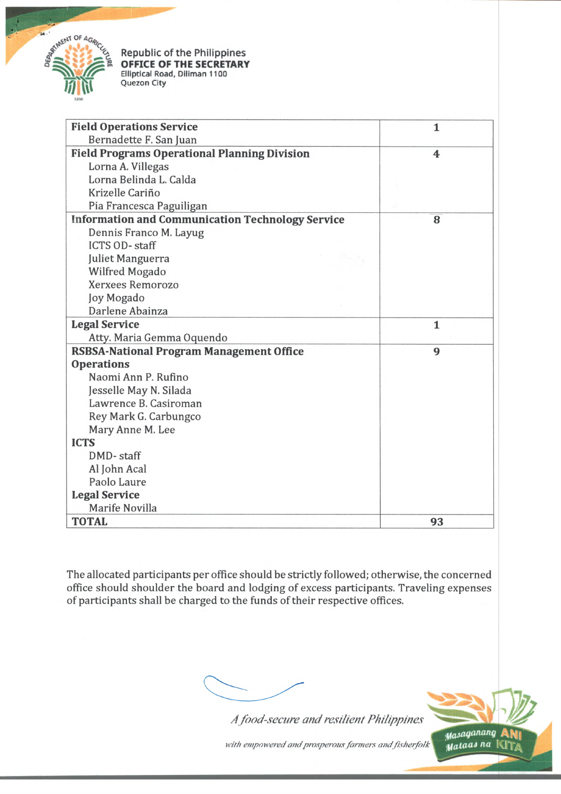

**Republic of the Philippines OFFICE OF THE SECRETARY Elliptical Road, Diliman 1100 Quezon City**

| <b>Field Operations Service</b>                         | 1                       |
|---------------------------------------------------------|-------------------------|
| Bernadette F. San Juan                                  |                         |
| <b>Field Programs Operational Planning Division</b>     | $\overline{\mathbf{4}}$ |
| Lorna A. Villegas                                       |                         |
| Lorna Belinda L. Calda                                  |                         |
| Krizelle Cariño                                         |                         |
| Pia Francesca Paguiligan                                |                         |
| <b>Information and Communication Technology Service</b> | 8                       |
| Dennis Franco M. Layug                                  |                         |
| <b>ICTS OD-staff</b>                                    |                         |
| Juliet Manguerra                                        |                         |
| Wilfred Mogado                                          |                         |
| Xerxees Remorozo                                        |                         |
| Joy Mogado                                              |                         |
| Darlene Abainza                                         |                         |
| <b>Legal Service</b>                                    | $\mathbf{1}$            |
| Atty. Maria Gemma Oquendo                               |                         |
| <b>RSBSA-National Program Management Office</b>         | 9                       |
| <b>Operations</b>                                       |                         |
| Naomi Ann P. Rufino                                     |                         |
| Jesselle May N. Silada                                  |                         |
| Lawrence B. Casiroman                                   |                         |
| Rey Mark G. Carbungco                                   |                         |
| Mary Anne M. Lee                                        |                         |
| <b>ICTS</b>                                             |                         |
| DMD-staff                                               |                         |
| Al John Acal                                            |                         |
| Paolo Laure                                             |                         |
| <b>Legal Service</b>                                    |                         |
| Marife Novilla                                          |                         |
| <b>TOTAL</b>                                            | 93                      |

The allocated participants per office should be strictly followed; otherwise, the concerned office should shoulder the board and lodging of excess participants. Traveling expenses of participants shall be charged to the funds of their respective offices.

*A food-secu re and resilien t Philippines*



with empowered and prosperous farmers and fisherfolk